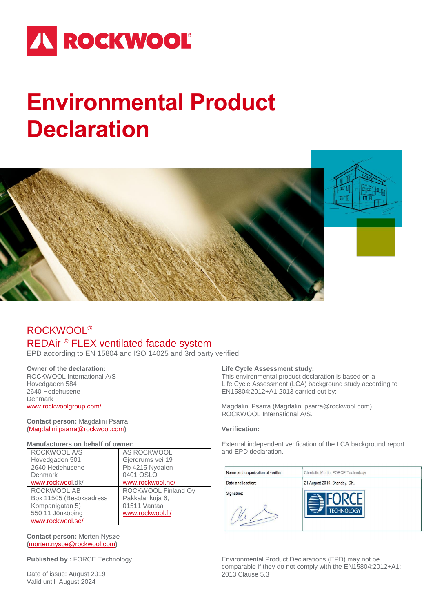# **IN ROCKWOOL**

# **Environmental Product Declaration**



# ROCKWOOL® REDAir ® FLEX ventilated facade system

EPD according to EN 15804 and ISO 14025 and 3rd party verified

# **Owner of the declaration:**

ROCKWOOL International A/S Hovedgaden 584 2640 Hedehusene Denmark [www.rockwoolgroup.com/](http://www.rockwoolgroup.com/)

### **Contact person:** Magdalini Psarra **(**[Magdalini.psarra@rockwool.com](mailto:Magdalini.psarra@rockwool.com)**)**

### **Manufacturers on behalf of owner:**

| ROCKWOOL A/S            | AS ROCKWOOL         |
|-------------------------|---------------------|
| Hovedgaden 501          | Gjerdrums vei 19    |
| 2640 Hedehusene         | Pb 4215 Nydalen     |
| Denmark                 | 0401 OSLO           |
| www.rockwool.dk/        | www.rockwool.no/    |
|                         |                     |
| ROCKWOOL AB             | ROCKWOOL Finland Oy |
| Box 11505 (Besöksadress | Pakkalankuja 6,     |
| Kompanigatan 5)         | 01511 Vantaa        |
| 550 11 Jönköping        | www.rockwool.fi/    |

### **Contact person:** Morten Nysøe **(**[morten.nysoe@rockwool.com](mailto:morten.nysoe@rockwool.com)**)**

**Published by :** FORCE Technology

Date of issue: August 2019 Valid until: August 2024

# **Life Cycle Assessment study:**

This environmental product declaration is based on a Life Cycle Assessment (LCA) background study according to EN15804:2012+A1:2013 carried out by:

Magdalini Psarra (Magdalini.psarra@rockwool.com) ROCKWOOL International A/S.

# **Verification:**

External independent verification of the LCA background report and EPD declaration.

| Name and organization of verifier: | Charlotte Merlin, FORCE Technology |
|------------------------------------|------------------------------------|
| Date and location:                 | 21 August 2019, Brøndby, DK.       |
| Signature:                         | <b>TECHNOLOGY</b>                  |

Environmental Product Declarations (EPD) may not be comparable if they do not comply with the EN15804:2012+A1: 2013 Clause 5.3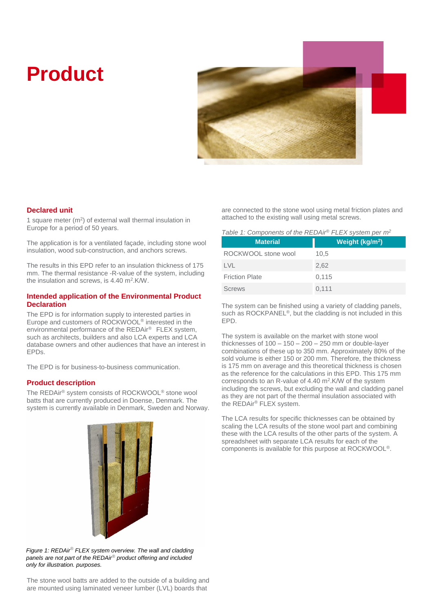# **Product**



# **Declared unit**

1 square meter  $(m<sup>2</sup>)$  of external wall thermal insulation in Europe for a period of 50 years.

The application is for a ventilated façade, including stone wool insulation, wood sub-construction, and anchors screws.

The results in this EPD refer to an insulation thickness of 175 mm. The thermal resistance -R-value of the system, including the insulation and screws, is 4.40 m<sup>2</sup>.K/W.

### **Intended application of the Environmental Product Declaration**

The EPD is for information supply to interested parties in Europe and customers of ROCKWOOL® interested in the environmental performance of the REDAir® FLEX system, such as architects, builders and also LCA experts and LCA database owners and other audiences that have an interest in EPDs.

The EPD is for business-to-business communication.

# **Product description**

The REDAir® system consists of ROCKWOOL® stone wool batts that are currently produced in Doense, Denmark. The system is currently available in Denmark, Sweden and Norway.



are connected to the stone wool using metal friction plates and attached to the existing wall using metal screws.

| <b>Material</b>       | Weight (kg/m <sup>2</sup> ) |
|-----------------------|-----------------------------|
| ROCKWOOL stone wool   | 10.5                        |
| LVL.                  | 2,62                        |
| <b>Friction Plate</b> | 0,115                       |
| <b>Screws</b>         | 0,111                       |

The system can be finished using a variety of cladding panels, such as ROCKPANEL<sup>®</sup>, but the cladding is not included in this EPD.

The system is available on the market with stone wool thicknesses of  $100 - 150 - 200 - 250$  mm or double-layer combinations of these up to 350 mm. Approximately 80% of the sold volume is either 150 or 200 mm. Therefore, the thickness is 175 mm on average and this theoretical thickness is chosen as the reference for the calculations in this EPD. This 175 mm corresponds to an R-value of  $4.40 \text{ m}^2$ . K/W of the system including the screws, but excluding the wall and cladding panel as they are not part of the thermal insulation associated with the REDAir® FLEX system.

The LCA results for specific thicknesses can be obtained by scaling the LCA results of the stone wool part and combining these with the LCA results of the other parts of the system. A spreadsheet with separate LCA results for each of the components is available for this purpose at ROCKWOOL®.

*Figure 1: REDAir® FLEX system overview. The wall and cladding panels are not part of the REDAir® product offering and included only for illustration. purposes.*

The stone wool batts are added to the outside of a building and are mounted using laminated veneer lumber (LVL) boards that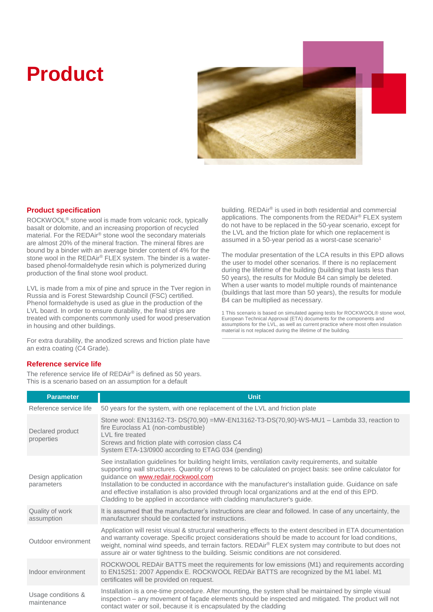# **Product**



# **Product specification**

ROCKWOOL® stone wool is made from volcanic rock, typically basalt or dolomite, and an increasing proportion of recycled material. For the REDAir® stone wool the secondary materials are almost 20% of the mineral fraction. The mineral fibres are bound by a binder with an average binder content of 4% for the stone wool in the REDAir® FLEX system. The binder is a waterbased phenol-formaldehyde resin which is polymerized during production of the final stone wool product.

LVL is made from a mix of pine and spruce in the Tver region in Russia and is Forest Stewardship Council (FSC) certified. Phenol formaldehyde is used as glue in the production of the LVL board. In order to ensure durability, the final strips are treated with components commonly used for wood preservation in housing and other buildings.

For extra durability, the anodized screws and friction plate have an extra coating (C4 Grade).

# **Reference service life**

The reference service life of REDAir® is defined as 50 years. This is a scenario based on an assumption for a default

building. REDAir® is used in both residential and commercial applications. The components from the REDAir® FLEX system do not have to be replaced in the 50-year scenario, except for the LVL and the friction plate for which one replacement is assumed in a 50-year period as a worst-case scenario<sup>1</sup>

The modular presentation of the LCA results in this EPD allows the user to model other scenarios. If there is no replacement during the lifetime of the building (building that lasts less than 50 years), the results for Module B4 can simply be deleted. When a user wants to model multiple rounds of maintenance (buildings that last more than 50 years), the results for module B4 can be multiplied as necessary.

1 This scenario is based on simulated ageing tests for ROCKWOOL® stone wool, European Technical Approval (ETA) documents for the components and assumptions for the LVL, as well as current practice where most often insulation material is not replaced during the lifetime of the building.

| <b>Parameter</b>                  | <b>Unit</b>                                                                                                                                                                                                                                                                                                                                                                                                                                                                                                                                               |
|-----------------------------------|-----------------------------------------------------------------------------------------------------------------------------------------------------------------------------------------------------------------------------------------------------------------------------------------------------------------------------------------------------------------------------------------------------------------------------------------------------------------------------------------------------------------------------------------------------------|
| Reference service life            | 50 years for the system, with one replacement of the LVL and friction plate                                                                                                                                                                                                                                                                                                                                                                                                                                                                               |
| Declared product<br>properties    | Stone wool: EN13162-T3- DS(70,90) =MW-EN13162-T3-DS(70,90)-WS-MU1 - Lambda 33, reaction to<br>fire Euroclass A1 (non-combustible)<br>LVL fire treated<br>Screws and friction plate with corrosion class C4<br>System ETA-13/0900 according to ETAG 034 (pending)                                                                                                                                                                                                                                                                                          |
| Design application<br>parameters  | See installation guidelines for building height limits, ventilation cavity requirements, and suitable<br>supporting wall structures. Quantity of screws to be calculated on project basis: see online calculator for<br>guidance on www.redair.rockwool.com<br>Installation to be conducted in accordance with the manufacturer's installation guide. Guidance on safe<br>and effective installation is also provided through local organizations and at the end of this EPD.<br>Cladding to be applied in accordance with cladding manufacturer's guide. |
| Quality of work<br>assumption     | It is assumed that the manufacturer's instructions are clear and followed. In case of any uncertainty, the<br>manufacturer should be contacted for instructions.                                                                                                                                                                                                                                                                                                                                                                                          |
| Outdoor environment               | Application will resist visual & structural weathering effects to the extent described in ETA documentation<br>and warranty coverage. Specific project considerations should be made to account for load conditions,<br>weight, nominal wind speeds, and terrain factors. REDAir <sup>®</sup> FLEX system may contribute to but does not<br>assure air or water tightness to the building. Seismic conditions are not considered.                                                                                                                         |
| Indoor environment                | ROCKWOOL REDAir BATTS meet the requirements for low emissions (M1) and requirements according<br>to EN15251: 2007 Appendix E. ROCKWOOL REDAir BATTS are recognized by the M1 label. M1<br>certificates will be provided on request.                                                                                                                                                                                                                                                                                                                       |
| Usage conditions &<br>maintenance | Installation is a one-time procedure. After mounting, the system shall be maintained by simple visual<br>inspection - any movement of façade elements should be inspected and mitigated. The product will not<br>contact water or soil, because it is encapsulated by the cladding                                                                                                                                                                                                                                                                        |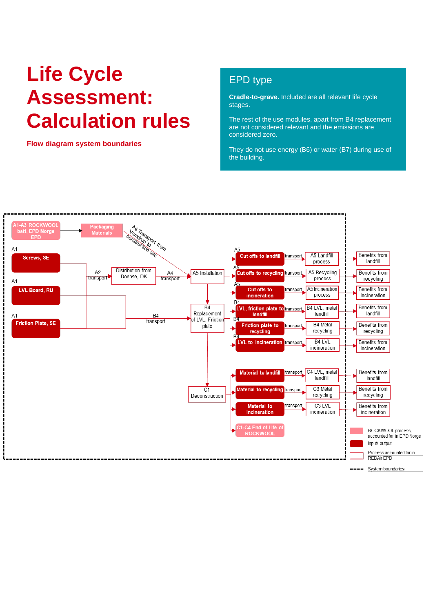# **Life Cycle Assessment: Calculation rules**

**Flow diagram system boundaries**

# EPD type

**Cradle-to-grave.** Included are all relevant life cycle stages.

The rest of the use modules, apart from B4 replacement are not considered relevant and the emissions are considered zero.

They do not use energy (B6) or water (B7) during use of the building.

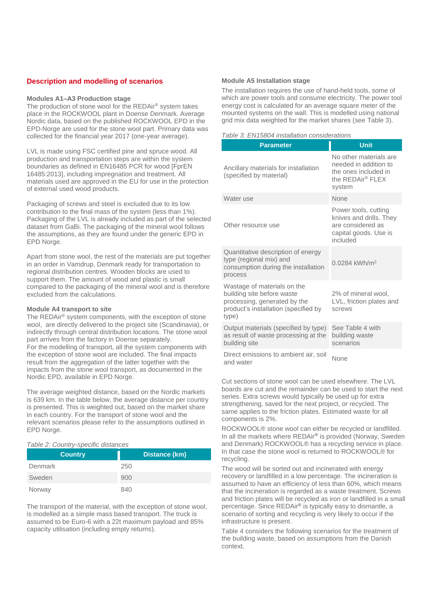# **Description and modelling of scenarios**

#### **Modules A1–A3 Production stage**

The production of stone wool for the REDAir® system takes place in the ROCKWOOL plant in Doense Denmark. Average Nordic data, based on the published ROCKWOOL EPD in the EPD-Norge are used for the stone wool part. Primary data was collected for the financial year 2017 (one-year average).

LVL is made using FSC certified pine and spruce wood. All production and transportation steps are within the system boundaries as defined in EN16485 PCR for wood [FprEN 16485:2013], including impregnation and treatment. All materials used are approved in the EU for use in the protection of external used wood products.

Packaging of screws and steel is excluded due to its low contribution to the final mass of the system (less than 1%). Packaging of the LVL is already included as part of the selected dataset from GaBi. The packaging of the mineral wool follows the assumptions, as they are found under the generic EPD in EPD Norge.

Apart from stone wool, the rest of the materials are put together in an order in Vamdrup, Denmark ready for transportation to regional distribution centres. Wooden blocks are used to support them. The amount of wood and plastic is small compared to the packaging of the mineral wool and is therefore excluded from the calculations.

#### **Module A4 transport to site**

The REDAir® system components, with the exception of stone wool, are directly delivered to the project site (Scandinavia), or indirectly through central distribution locations. The stone wool part arrives from the factory in Doense separately. For the modelling of transport, all the system components with the exception of stone wool are included. The final impacts result from the aggregation of the latter together with the impacts from the stone wool transport, as documented in the Nordic EPD, available in EPD Norge.

The average weighted distance, based on the Nordic markets is 639 km. In the table below, the average distance per country is presented. This is weighted out, based on the market share in each country. For the transport of stone wool and the relevant scenarios please refer to the assumptions outlined in EPD Norge.

#### *Table 2: Country-specific distances*

| <b>Country</b> | Distance (km) |
|----------------|---------------|
| Denmark        | 250           |
| Sweden         | 900           |
| Norway         | 840           |

The transport of the material, with the exception of stone wool, is modelled as a simple mass based transport. The truck is assumed to be Euro-6 with a 22t maximum payload and 85% capacity utilisation (including empty returns).

#### **Module A5 Installation stage**

The installation requires the use of hand-held tools, some of which are power tools and consume electricity. The power tool energy cost is calculated for an average square meter of the mounted systems on the wall. This is modelled using national grid mix data weighted for the market shares (see Table 3).

#### *Table 3: EN15804 installation considerations*

| <b>Parameter</b>                                                                                                                           | <b>Unit</b>                                                                                               |
|--------------------------------------------------------------------------------------------------------------------------------------------|-----------------------------------------------------------------------------------------------------------|
| Ancillary materials for installation<br>(specified by material)                                                                            | No other materials are<br>needed in addition to<br>the ones included in<br>the REDAir® FLEX<br>system     |
| Water use                                                                                                                                  | <b>None</b>                                                                                               |
| Other resource use                                                                                                                         | Power tools, cutting<br>knives and drills. They<br>are considered as<br>capital goods. Use is<br>included |
| Quantitative description of energy<br>type (regional mix) and<br>consumption during the installation<br>process                            | 0.0284 kWh/m <sup>2</sup>                                                                                 |
| Wastage of materials on the<br>building site before waste<br>processing, generated by the<br>product's installation (specified by<br>type) | 2% of mineral wool.<br>LVL, friction plates and<br>screws                                                 |
| Output materials (specified by type)<br>as result of waste processing at the<br>building site                                              | See Table 4 with<br>building waste<br>scenarios                                                           |
| Direct emissions to ambient air, soil<br>and water                                                                                         | None                                                                                                      |

Cut sections of stone wool can be used elsewhere. The LVL boards are cut and the remainder can be used to start the next series. Extra screws would typically be used up for extra strengthening, saved for the next project, or recycled. The same applies to the friction plates. Estimated waste for all components is 2%.

ROCKWOOL® stone wool can either be recycled or landfilled. In all the markets where REDAir**®** is provided (Norway, Sweden and Denmark) ROCKWOOL® has a recycling service in place. In that case the stone wool is returned to ROCKWOOL® for recycling.

The wood will be sorted out and incinerated with energy recovery or landfilled in a low percentage. The incineration is assumed to have an efficiency of less than 60%, which means that the incineration is regarded as a waste treatment. Screws and friction plates will be recycled as iron or landfilled in a small percentage. Since REDAir**®** is typically easy to dismantle, a scenario of sorting and recycling is very likely to occur if the infrastructure is present.

Table 4 considers the following scenarios for the treatment of the building waste, based on assumptions from the Danish context.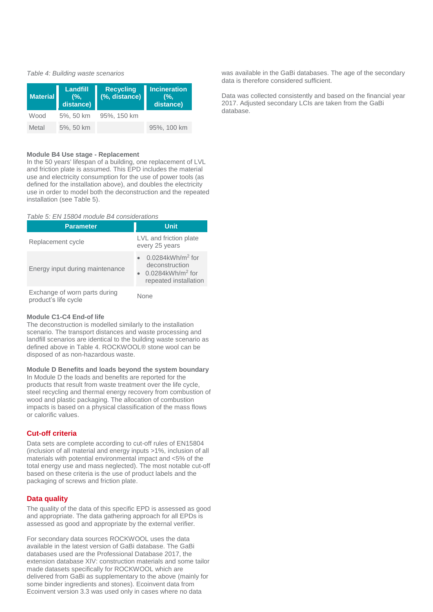#### *Table 4: Building waste scenarios*

| <b>Material</b> | Landfill<br>$(%$ .<br>distance) | <b>Recycling</b><br>(%, distance) | Incineration<br>(%<br>distance) |
|-----------------|---------------------------------|-----------------------------------|---------------------------------|
| Wood            | 5%, 50 km                       | 95%, 150 km                       |                                 |
| Metal           | 5%, 50 km                       |                                   | 95%, 100 km                     |

#### **Module B4 Use stage - Replacement**

In the 50 years' lifespan of a building, one replacement of LVL and friction plate is assumed. This EPD includes the material use and electricity consumption for the use of power tools (as defined for the installation above), and doubles the electricity use in order to model both the deconstruction and the repeated installation (see Table 5).

#### *Table 5: EN 15804 module B4 considerations*

| <b>Parameter</b>                                      | <b>Unit</b>                                                                                                   |
|-------------------------------------------------------|---------------------------------------------------------------------------------------------------------------|
| Replacement cycle                                     | LVL and friction plate<br>every 25 years                                                                      |
| Energy input during maintenance                       | $0.0284$ kWh/m <sup>2</sup> for<br>deconstruction<br>$0.0284$ kWh/m <sup>2</sup> for<br>repeated installation |
| Exchange of worn parts during<br>product's life cycle | None                                                                                                          |

### **Module C1-C4 End-of life**

The deconstruction is modelled similarly to the installation scenario. The transport distances and waste processing and landfill scenarios are identical to the building waste scenario as defined above in Table 4. ROCKWOOL® stone wool can be disposed of as non-hazardous waste.

# **Module D Benefits and loads beyond the system boundary**

In Module D the loads and benefits are reported for the products that result from waste treatment over the life cycle, steel recycling and thermal energy recovery from combustion of wood and plastic packaging. The allocation of combustion impacts is based on a physical classification of the mass flows or calorific values.

# **Cut-off criteria**

Data sets are complete according to cut-off rules of EN15804 (inclusion of all material and energy inputs >1%, inclusion of all materials with potential environmental impact and <5% of the total energy use and mass neglected). The most notable cut-off based on these criteria is the use of product labels and the packaging of screws and friction plate.

#### **Data quality**

The quality of the data of this specific EPD is assessed as good and appropriate. The data gathering approach for all EPDs is assessed as good and appropriate by the external verifier.

For secondary data sources ROCKWOOL uses the data available in the latest version of GaBi database. The GaBi databases used are the Professional Database 2017, the extension database XIV: construction materials and some tailor made datasets specifically for ROCKWOOL which are delivered from GaBi as supplementary to the above (mainly for some binder ingredients and stones). Ecoinvent data from Ecoinvent version 3.3 was used only in cases where no data

was available in the GaBi databases. The age of the secondary data is therefore considered sufficient.

Data was collected consistently and based on the financial year 2017. Adjusted secondary LCIs are taken from the GaBi database.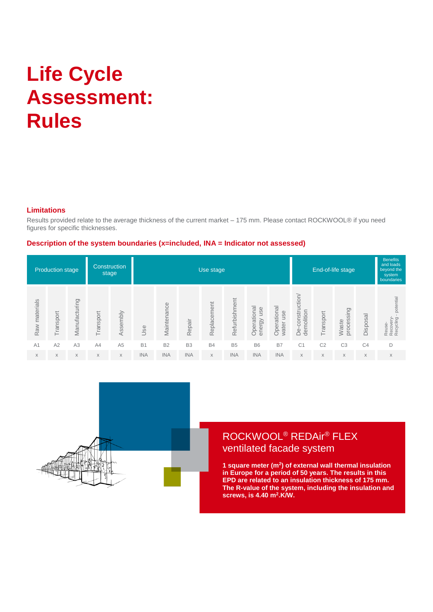# **Life Cycle Assessment: Rules**

# **Limitations**

Results provided relate to the average thickness of the current market – 175 mm. Please contact ROCKWOOL® if you need figures for specific thicknesses.

# **Description of the system boundaries (x=included, INA = Indicator not assessed)**

|               | <b>Production stage</b> |               |           | Construction<br>stage | Use stage  |             |                |             |               |                              |                             | End-of-life stage              | <b>Benefits</b><br>and loads<br>beyond the<br>system<br>boundaries |                     |                |                                               |
|---------------|-------------------------|---------------|-----------|-----------------------|------------|-------------|----------------|-------------|---------------|------------------------------|-----------------------------|--------------------------------|--------------------------------------------------------------------|---------------------|----------------|-----------------------------------------------|
| Raw materials | ransport                | Manufacturing | Transport | Assembly              | Use        | Maintenance | Repair         | Replacement | Refurbishment | Operational<br>use<br>energy | Operational<br>use<br>water | De-construction/<br>demolition | Transport                                                          | processing<br>Waste | Disposal       | potential<br>Reuse-<br>Recovery-<br>Recycling |
| A1            | A2                      | A3            | A4        | A <sub>5</sub>        | <b>B1</b>  | <b>B2</b>   | B <sub>3</sub> | <b>B4</b>   | <b>B5</b>     | <b>B6</b>                    | <b>B7</b>                   | C <sub>1</sub>                 | C <sub>2</sub>                                                     | C <sub>3</sub>      | C <sub>4</sub> | D                                             |
| $\times$      | $\times$                | X             | X         | $\times$              | <b>INA</b> | <b>INA</b>  | <b>INA</b>     | X           | <b>INA</b>    | <b>INA</b>                   | <b>INA</b>                  | X                              | X                                                                  | X                   | X              | X                                             |



# ROCKWOOL® REDAir® FLEX ventilated facade system

**1 square meter (m<sup>2</sup> ) of external wall thermal insulation in Europe for a period of 50 years. The results in this EPD are related to an insulation thickness of 175 mm. The R-value of the system, including the insulation and screws, is 4.40 m<sup>2</sup> .K/W.**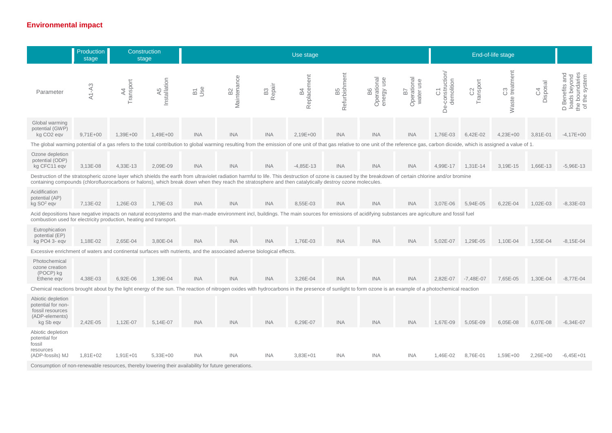# **Environmental impact**

|                                                                                                                                                                                                                                                                                                                                                                     | Production<br>stage |                             | Construction<br>stage          | Use stage  |                            |                       |                      |                     |                                    |                                |                                                      | End-of-life stage                         |                              |                   |                                                                                        |
|---------------------------------------------------------------------------------------------------------------------------------------------------------------------------------------------------------------------------------------------------------------------------------------------------------------------------------------------------------------------|---------------------|-----------------------------|--------------------------------|------------|----------------------------|-----------------------|----------------------|---------------------|------------------------------------|--------------------------------|------------------------------------------------------|-------------------------------------------|------------------------------|-------------------|----------------------------------------------------------------------------------------|
| Parameter                                                                                                                                                                                                                                                                                                                                                           | $A1 - A3$           | Transport<br>$\overline{4}$ | Installation<br>$\overline{4}$ | ag<br>De   | Maintenance<br>$_{\rm B2}$ | Repair<br>$_{\rm B3}$ | Replacement<br>$\Xi$ | Refurbishment<br>B5 | Operational<br>use<br>energy<br>B6 | Operational<br>water use<br>57 | a-construction/<br>demolition<br>$\overline{O}$<br>Å | ransport<br>$\sim$<br>$\circ$<br>$\vdash$ | treatment<br>ന<br>Ö<br>Waste | Disposal<br>$\Im$ | and<br>the boundaries<br>of the system<br>loads beyond<br><b>Benefits</b><br>$\bigcap$ |
| Global warming<br>potential (GWP)<br>kg CO <sub>2</sub> eqv                                                                                                                                                                                                                                                                                                         | $9,71E+00$          | 1,39E+00                    | 1,49E+00                       | <b>INA</b> | <b>INA</b>                 | <b>INA</b>            | 2,19E+00             | <b>INA</b>          | <b>INA</b>                         | <b>INA</b>                     | 1,76E-03                                             | 6,42E-02                                  | $4,23E+00$                   | 3,81E-01          | $-4.17E + 00$                                                                          |
| The global warming potential of a gas refers to the total contribution to global warming resulting from the emission of one unit of that gas relative to one unit of the reference gas, carbon dioxide, which is assigned a va                                                                                                                                      |                     |                             |                                |            |                            |                       |                      |                     |                                    |                                |                                                      |                                           |                              |                   |                                                                                        |
| Ozone depletion<br>potential (ODP)<br>kg CFC11 eqv                                                                                                                                                                                                                                                                                                                  | 3,13E-08            | 4,33E-13                    | 2,09E-09                       | <b>INA</b> | <b>INA</b>                 | <b>INA</b>            | $-4,85E-13$          | <b>INA</b>          | <b>INA</b>                         | <b>INA</b>                     | 4,99E-17                                             | 1,31E-14                                  | 3,19E-15                     | 1,66E-13          | $-5,96E-13$                                                                            |
| Destruction of the stratospheric ozone layer which shields the earth from ultraviolet radiation harmful to life. This destruction of ozone is caused by the breakdown of certain chlorine and/or bromine<br>containing compounds (chlorofluorocarbons or halons), which break down when they reach the stratosphere and then catalytically destroy ozone molecules. |                     |                             |                                |            |                            |                       |                      |                     |                                    |                                |                                                      |                                           |                              |                   |                                                                                        |
| Acidification<br>potential (AP)<br>$kg$ SO <sup>2</sup> eqv                                                                                                                                                                                                                                                                                                         | 7,13E-02            | 1,26E-03                    | 1,79E-03                       | <b>INA</b> | <b>INA</b>                 | <b>INA</b>            | 8,55E-03             | <b>INA</b>          | <b>INA</b>                         | <b>INA</b>                     | 3,07E-06                                             | 5,94E-05                                  | 6,22E-04                     | 1,02E-03          | $-8,33E-03$                                                                            |
| Acid depositions have negative impacts on natural ecosystems and the man-made environment incl, buildings. The main sources for emissions of acidifying substances are agriculture and fossil fuel<br>combustion used for electricity production, heating and transport.                                                                                            |                     |                             |                                |            |                            |                       |                      |                     |                                    |                                |                                                      |                                           |                              |                   |                                                                                        |
| Eutrophication<br>potential (EP)<br>kg PO4 3- eqv                                                                                                                                                                                                                                                                                                                   | 1,18E-02            | 2,65E-04                    | 3,80E-04                       | <b>INA</b> | <b>INA</b>                 | <b>INA</b>            | 1,76E-03             | <b>INA</b>          | <b>INA</b>                         | <b>INA</b>                     | 5,02E-07                                             | 1,29E-05                                  | 1,10E-04                     | 1,55E-04          | $-8,15E-04$                                                                            |
| Excessive enrichment of waters and continental surfaces with nutrients, and the associated adverse biological effects.                                                                                                                                                                                                                                              |                     |                             |                                |            |                            |                       |                      |                     |                                    |                                |                                                      |                                           |                              |                   |                                                                                        |
| Photochemical<br>ozone creation<br>(POCP) kg<br>Ethene eqv                                                                                                                                                                                                                                                                                                          | 4,38E-03            | 6,92E-06                    | 1,39E-04                       | <b>INA</b> | <b>INA</b>                 | <b>INA</b>            | 3,26E-04             | <b>INA</b>          | <b>INA</b>                         | <b>INA</b>                     | 2,82E-07                                             | $-7,48E-07$                               | 7,65E-05                     | 1,30E-04          | $-8,77E-04$                                                                            |
| Chemical reactions brought about by the light energy of the sun. The reaction of nitrogen oxides with hydrocarbons in the presence of sunlight to form ozone is an example of a photochemical reaction                                                                                                                                                              |                     |                             |                                |            |                            |                       |                      |                     |                                    |                                |                                                      |                                           |                              |                   |                                                                                        |
| Abiotic depletion<br>potential for non-<br>fossil resources<br>(ADP-elements)<br>kg Sb eqv                                                                                                                                                                                                                                                                          | 2,42E-05            | 1,12E-07                    | 5,14E-07                       | <b>INA</b> | <b>INA</b>                 | <b>INA</b>            | 6,29E-07             | <b>INA</b>          | <b>INA</b>                         | <b>INA</b>                     | 1,67E-09                                             | 5,05E-09                                  | 6,05E-08                     | 6,07E-08          | $-6,34E-07$                                                                            |
| Abiotic depletion<br>potential for<br>fossil<br>resources<br>(ADP-fossils) MJ                                                                                                                                                                                                                                                                                       | 1,81E+02            | $1,91E+01$                  | $5,33E+00$                     | <b>INA</b> | INA.                       | <b>INA</b>            | $3,83E+01$           | <b>INA</b>          | <b>INA</b>                         | <b>INA</b>                     | 1,46E-02                                             | 8,76E-01                                  | 1,59E+00                     | 2,26E+00          | $-6,45E+01$                                                                            |
| Consumption of non-renewable resources, thereby lowering their availability for future generations.                                                                                                                                                                                                                                                                 |                     |                             |                                |            |                            |                       |                      |                     |                                    |                                |                                                      |                                           |                              |                   |                                                                                        |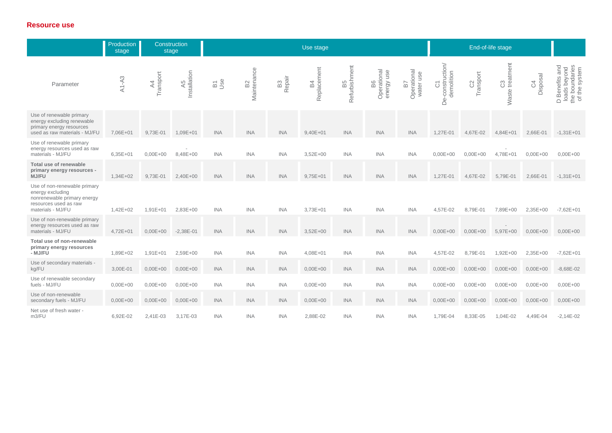# **Resource use**

|                                                                                                                               | Production<br>stage | Construction<br>stage       |                    | Use stage  |                               |                          |                   |                                           |                                 |                                | End-of-life stage                    |                              |                       |                             |                                                                                     |
|-------------------------------------------------------------------------------------------------------------------------------|---------------------|-----------------------------|--------------------|------------|-------------------------------|--------------------------|-------------------|-------------------------------------------|---------------------------------|--------------------------------|--------------------------------------|------------------------------|-----------------------|-----------------------------|-------------------------------------------------------------------------------------|
| Parameter                                                                                                                     | $A1 - A3$           | Transport<br>$\overline{4}$ | Installation<br>A5 | age<br>De  | Maintenance<br>B <sub>2</sub> | B <sub>3</sub><br>Repair | Replacement<br>54 | efurbishment<br>5<br>$\omega$<br>$\alpha$ | Operational<br>energy use<br>86 | Operational<br>water use<br>57 | C1<br>De-construction/<br>demolition | Transport<br>$\mathcal{C}^2$ | Waste treatment<br>C3 | Disposal<br>$\mathcal{L}^4$ | and<br>the boundaries<br>of the system<br>loads beyond<br><b>Benefits</b><br>$\Box$ |
| Use of renewable primary<br>energy excluding renewable<br>primary energy resources<br>used as raw materials - MJ/FU           | 7,06E+01            | 9,73E-01                    | 1,09E+01           | <b>INA</b> | <b>INA</b>                    | <b>INA</b>               | $9,40E + 01$      | <b>INA</b>                                | <b>INA</b>                      | <b>INA</b>                     | 1,27E-01                             | 4,67E-02                     | $4,84E+01$            | 2,66E-01                    | $-1,31E+01$                                                                         |
| Use of renewable primary<br>energy resources used as raw<br>materials - MJ/FU                                                 | $6,35E+01$          | $0,00E + 00$                | 8,48E+00           | <b>INA</b> | <b>INA</b>                    | <b>INA</b>               | $3,52E+00$        | <b>INA</b>                                | <b>INA</b>                      | <b>INA</b>                     | $0,00E + 00$                         | $0,00E + 00$                 | 4,78E+01              | $0,00E + 00$                | $0.00E + 00$                                                                        |
| Total use of renewable<br>primary energy resources -<br>MJ/FU                                                                 | 1,34E+02            | 9,73E-01                    | 2,40E+00           | <b>INA</b> | <b>INA</b>                    | <b>INA</b>               | $9,75E+01$        | <b>INA</b>                                | <b>INA</b>                      | <b>INA</b>                     | 1.27E-01                             | 4,67E-02                     | 5,79E-01              | 2,66E-01                    | $-1,31E+01$                                                                         |
| Use of non-renewable primary<br>energy excluding<br>nonrenewable primary energy<br>resources used as raw<br>materials - MJ/FU | $1.42E + 02$        | $1,91E + 01$                | $2,83E+00$         | <b>INA</b> | <b>INA</b>                    | <b>INA</b>               | $3,73E+01$        | <b>INA</b>                                | <b>INA</b>                      | <b>INA</b>                     | 4.57E-02                             | 8.79E-01                     | 7,89E+00              | 2,35E+00                    | $-7,62E+01$                                                                         |
| Use of non-renewable primary<br>energy resources used as raw<br>materials - MJ/FU                                             | $4.72E + 01$        | $0.00E + 00$                | $-2,38E-01$        | <b>INA</b> | <b>INA</b>                    | <b>INA</b>               | $3,52E+00$        | <b>INA</b>                                | <b>INA</b>                      | <b>INA</b>                     | $0.00E + 00$                         | $0.00E + 00$                 | 5,97E+00              | $0,00E + 00$                | $0,00E + 00$                                                                        |
| Total use of non-renewable<br>primary energy resources<br>- MJ/FU                                                             | 1,89E+02            | 1,91E+01                    | 2,59E+00           | <b>INA</b> | <b>INA</b>                    | <b>INA</b>               | 4,08E+01          | <b>INA</b>                                | <b>INA</b>                      | <b>INA</b>                     | 4,57E-02                             | 8,79E-01                     | $1,92E+00$            | 2,35E+00                    | $-7,62E+01$                                                                         |
| Use of secondary materials -<br>kg/FU                                                                                         | 3,00E-01            | $0,00E + 00$                | $0,00E + 00$       | <b>INA</b> | <b>INA</b>                    | <b>INA</b>               | $0,00E + 00$      | <b>INA</b>                                | <b>INA</b>                      | <b>INA</b>                     | $0,00E + 00$                         | $0,00E + 00$                 | $0,00E + 00$          | $0,00E + 00$                | $-8,68E-02$                                                                         |
| Use of renewable secondary<br>fuels - MJ/FU                                                                                   | $0,00E + 00$        | $0,00E + 00$                | $0,00E + 00$       | <b>INA</b> | <b>INA</b>                    | <b>INA</b>               | $0,00E + 00$      | <b>INA</b>                                | <b>INA</b>                      | <b>INA</b>                     | $0,00E + 00$                         | $0,00E+00$                   | $0,00E + 00$          | $0,00E + 00$                | $0,00E + 00$                                                                        |
| Use of non-renewable<br>secondary fuels - MJ/FU                                                                               | $0,00E + 00$        | $0,00E + 00$                | $0,00E + 00$       | <b>INA</b> | <b>INA</b>                    | <b>INA</b>               | $0,00E + 00$      | <b>INA</b>                                | <b>INA</b>                      | <b>INA</b>                     | $0,00E + 00$                         | $0,00E+00$                   | $0,00E+00$            | $0,00E + 00$                | $0,00E + 00$                                                                        |
| Net use of fresh water -<br>m3/FU                                                                                             | 6,92E-02            | $2,41E-03$                  | 3,17E-03           | <b>INA</b> | <b>INA</b>                    | <b>INA</b>               | 2,88E-02          | <b>INA</b>                                | INA.                            | <b>INA</b>                     | 1.79E-04                             | 8,33E-05                     | 1,04E-02              | 4,49E-04                    | $-2,14E-02$                                                                         |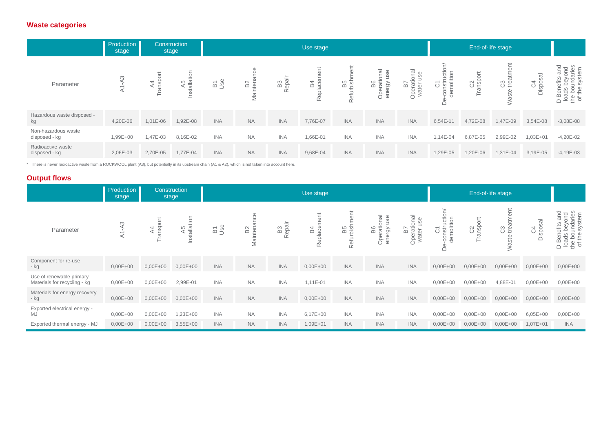# **Waste categories**

|                                      | Production<br>stage                      | Construction<br>stage         |                        | Use stage  |                 |                          |                                  |                     |                                                                                              |                                           |                                                                                              | End-of-life stage                                    |                          |                                           |                                                                                                                    |
|--------------------------------------|------------------------------------------|-------------------------------|------------------------|------------|-----------------|--------------------------|----------------------------------|---------------------|----------------------------------------------------------------------------------------------|-------------------------------------------|----------------------------------------------------------------------------------------------|------------------------------------------------------|--------------------------|-------------------------------------------|--------------------------------------------------------------------------------------------------------------------|
| Parameter                            | S<br>$\overline{\phantom{0}}$<br>$\prec$ | ᆉ<br>$\overline{6}$<br>◁<br>ㅎ | allation<br>S<br>Insta | ase        | B2<br>ğ<br>Mail | B <sub>3</sub><br>Repair | ent<br>O<br>54<br>Ō<br>epla<br>∝ | as<br>arbish<br>Ref | ഗ<br>-<br>B6<br>rati<br>$\Im$<br>ā<br>$\overline{\mathbb{O}}$<br>Š<br>-<br>$\overline{\Phi}$ | rational<br>9S<br>⊃<br>57<br>ater<br>Opel | nstruction<br>molition<br>$\overline{\phantom{0}}$<br>$\overline{\circ}$<br>မှ မှ<br>$\circ$ | 5 <sup>1</sup><br>pdsue<br>$\mathcal{C}^2$<br>⋍<br>⊢ | C3<br>treatment<br>Waste | $\overline{\mathsf{B}}$ S<br>C4<br>Dispos | and<br>ond<br>ads beyond<br>boundaries<br>the system<br><b>Benefits</b><br>D<br>Bens<br>Ioads<br>the bot<br>of the |
| Hazardous waste disposed -<br>kg     | 4,20E-06                                 | $1,01E-06$                    | 1,92E-08               | <b>INA</b> | <b>INA</b>      | <b>INA</b>               | 7,76E-07                         | <b>INA</b>          | <b>INA</b>                                                                                   | <b>INA</b>                                | 6,54E-11                                                                                     | 4,72E-08                                             | 1,47E-09                 | 3,54E-08                                  | $-3,08E-08$                                                                                                        |
| Non-hazardous waste<br>disposed - kg | 1,99E+00                                 | 1,47E-03                      | 8,16E-02               | <b>INA</b> | <b>INA</b>      | <b>INA</b>               | 1,66E-01                         | <b>INA</b>          | <b>INA</b>                                                                                   | <b>INA</b>                                | 1,14E-04                                                                                     | 6,87E-05                                             | 2,99E-02                 | $1,03E + 01$                              | $-4,20E-02$                                                                                                        |
| Radioactive waste<br>disposed - kg   | 2,06E-03                                 | 2,70E-05                      | 1,77E-04               | <b>INA</b> | <b>INA</b>      | <b>INA</b>               | 9,68E-04                         | <b>INA</b>          | <b>INA</b>                                                                                   | <b>INA</b>                                | 1,29E-05                                                                                     | 1,20E-06                                             | 1,31E-04                 | 3,19E-05                                  | $-4,19E-03$                                                                                                        |

\* There is never radioactive waste from a ROCKWOOL plant (A3), but potentially in its upstream chain (A1 & A2), which is not taken into account here.

# **Output flows**

|                                                          | Production<br>stage | Construction<br>stage     |                    | Use stage  |                                 |                          |                           |                  |                                         |                                |                                    | End-of-life stage |                          |                |                                                                                                        |
|----------------------------------------------------------|---------------------|---------------------------|--------------------|------------|---------------------------------|--------------------------|---------------------------|------------------|-----------------------------------------|--------------------------------|------------------------------------|-------------------|--------------------------|----------------|--------------------------------------------------------------------------------------------------------|
| Parameter                                                | $A1 - A3$           | Transpo<br>$\overline{4}$ | A5<br>Installation | B3e<br>Jse | Φ<br>B <sub>2</sub><br>Maintena | B <sub>3</sub><br>Repair | ent<br>Replacem<br>4<br>മ | as<br>teigh<br>œ | ಸ<br>Ě<br>B6<br>Operationa<br>ergy<br>ā | B7<br>Operational<br>water use | C1<br>-construction/<br>demolition | Transport<br>S    | C3<br>treatment<br>Waste | C4<br>Disposal | and<br>ond<br>loads beyond<br>the boundaries<br>of the system<br>D Benefits<br>loads beyc<br>$\bigcap$ |
| Component for re-use<br>- kg                             | $0,00E + 00$        | $0,00E + 00$              | $0,00E + 00$       | <b>INA</b> | <b>INA</b>                      | <b>INA</b>               | $0,00E + 00$              | <b>INA</b>       | <b>INA</b>                              | <b>INA</b>                     | $0,00E + 00$                       | $0,00E+00$        | $0,00E + 00$             | $0,00E + 00$   | $0,00E + 00$                                                                                           |
| Use of renewable primary<br>Materials for recycling - kg | $0,00E + 00$        | $0,00E + 00$              | 2,99E-01           | <b>INA</b> | <b>INA</b>                      | <b>INA</b>               | 1,11E-01                  | <b>INA</b>       | <b>INA</b>                              | <b>INA</b>                     | $0,00E + 00$                       | $0,00E + 00$      | 4,88E-01                 | $0,00E + 00$   | $0,00E + 00$                                                                                           |
| Materials for energy recovery<br>- kg                    | $0,00E + 00$        | $0,00E + 00$              | $0,00E + 00$       | <b>INA</b> | <b>INA</b>                      | <b>INA</b>               | $0,00E + 00$              | <b>INA</b>       | <b>INA</b>                              | <b>INA</b>                     | $0,00E + 00$                       | $0,00E + 00$      | $0,00E + 00$             | $0,00E + 00$   | $0,00E + 00$                                                                                           |
| Exported electrical energy -<br>MJ                       | $0,00E + 00$        | $0,00E + 00$              | 1,23E+00           | <b>INA</b> | <b>INA</b>                      | <b>INA</b>               | $6,17E+00$                | <b>INA</b>       | <b>INA</b>                              | <b>INA</b>                     | $0,00E + 00$                       | $0,00E + 00$      | $0,00E + 00$             | $6,05E+00$     | $0,00E + 00$                                                                                           |
| Exported thermal energy - MJ                             | $0,00E + 00$        | $0,00E + 00$              | $3,55E+00$         | <b>INA</b> | <b>INA</b>                      | <b>INA</b>               | 1,09E+01                  | <b>INA</b>       | <b>INA</b>                              | <b>INA</b>                     | $0,00E + 00$                       | $0,00E + 00$      | $0,00E + 00$             | $1,07E+01$     | <b>INA</b>                                                                                             |